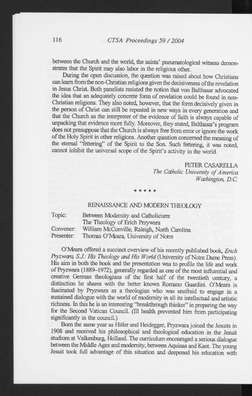between the Church and the world, the saints' pneumatological witness demonstrates that the Spirit may also labor in the religious other.

During the open discussion, the question was raised about how Christians can leam from the non-Christian religions given the decisiveness of the revelation in Jesus Christ. Both panelists resisted the notion that von Balthasar advocated the idea that an adequately concrete form of revelation could be found in non-Christian religions. They also noted, however, that the form decisively given in the person of Christ can still be repeated in new ways in every generation and that the Church as the interpreter of the evidence of faith is always capable of unpacking that evidence more fully. Moreover, they stated, Balthasar's program does not presuppose that the Church is always free from error or ignore the work of the Holy Spirit in other religions. Another question concerned the meaning of the eternal "fettering" of the Spirit to the Son. Such fettering, it was noted, cannot inhibit the universal scope of the Spirit's activity in the world

> PETER CASARELLA *The Catholic University of America Washington, D.C.*

## RENAISSANCE AND MODERN THEOLOGY

\* \* \* \*

Topic: Between Modernity and Catholicism: The Theology of Erich Przywara Convener: William McConville, Raleigh, North Carolina Presenter: Thomas O'Meara, University of Notre

O'Meara offered a succinct overview of his recently published book, *Erich Pryzwara, S.J.: His Theology and His World* (University of Notre Dame Press). His aim in both the book and the presentation was to profile the life and work of Pryzwara (1889-1972), generally regarded as one of the most influential and creative German theologians of the first half of the twentieth century, a distinction he shares with the better known Romano Guardini. O'Meara is fascinated by Pryzwara as a theologian who was unafraid to engage in a sustained dialogue with the world of modernity in all its intellectual and artistic richness. In this he is an interesting "breakthrough thinker" in preparing the way for the Second Vatican Council. (Ill health prevented him from participating significantly in the council.)

Bom the same year as Hitler and Heidegger, Pryzwara joined the Jesuits in 1908 and received his philosophical and theological education in the Jesuit studium at Valkenburg, Holland. The curriculum encouraged a serious dialogue between the Middle Ages and modernity, between Aquinas and Kant. The young Jesuit took full advantage of this situation and deepened his education with